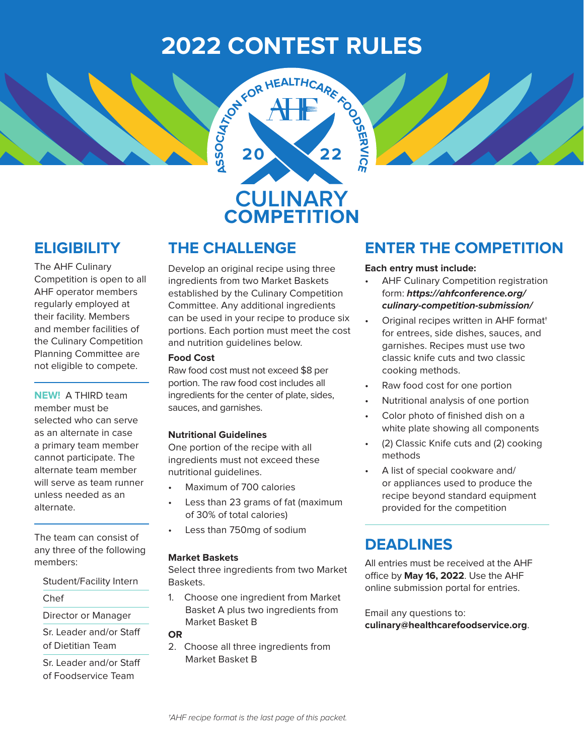# **2022 CONTEST RULES**



### **ELIGIBILITY**

The AHF Culinary Competition is open to all AHF operator members regularly employed at their facility. Members and member facilities of the Culinary Competition Planning Committee are not eligible to compete.

**NEW!** A THIRD team member must be selected who can serve as an alternate in case a primary team member cannot participate. The alternate team member will serve as team runner unless needed as an alternate.

The team can consist of any three of the following members:

Student/Facility Intern

Chef

Director or Manager

Sr. Leader and/or Staff of Dietitian Team

Sr. Leader and/or Staff of Foodservice Team

Develop an original recipe using three ingredients from two Market Baskets established by the Culinary Competition Committee. Any additional ingredients can be used in your recipe to produce six portions. Each portion must meet the cost and nutrition guidelines below.

#### **Food Cost**

Raw food cost must not exceed \$8 per portion. The raw food cost includes all ingredients for the center of plate, sides, sauces, and garnishes.

#### **Nutritional Guidelines**

One portion of the recipe with all ingredients must not exceed these nutritional guidelines.

- Maximum of 700 calories
- Less than 23 grams of fat (maximum of 30% of total calories)
- Less than 750mg of sodium

#### **Market Baskets**

Select three ingredients from two Market Baskets.

1. Choose one ingredient from Market Basket A plus two ingredients from Market Basket B

**OR**

2. Choose all three ingredients from Market Basket B

### **THE CHALLENGE ENTER THE COMPETITION**

#### **Each entry must include:**

- AHF Culinary Competition registration form: *https://ahfconference.org/ culinary-competition-submission/*
- Original recipes written in AHF format† for entrees, side dishes, sauces, and garnishes. Recipes must use two classic knife cuts and two classic cooking methods.
- Raw food cost for one portion
- Nutritional analysis of one portion
- Color photo of finished dish on a white plate showing all components
- (2) Classic Knife cuts and (2) cooking methods
- A list of special cookware and/ or appliances used to produce the recipe beyond standard equipment provided for the competition

### **DEADLINES**

All entries must be received at the AHF office by **May 16, 2022**. Use the AHF online submission portal for entries.

Email any questions to: **culinary@healthcarefoodservice.org**.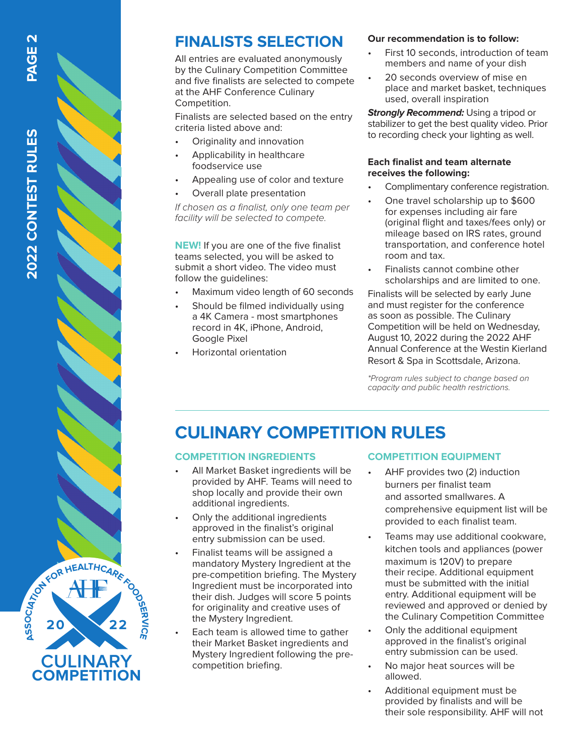

### **FINALISTS SELECTION**

All entries are evaluated anonymously by the Culinary Competition Committee and five finalists are selected to compete at the AHF Conference Culinary Competition.

Finalists are selected based on the entry criteria listed above and:

- Originality and innovation
- Applicability in healthcare foodservice use
- Appealing use of color and texture
- Overall plate presentation

*If chosen as a finalist, only one team per facility will be selected to compete.*

**NEW!** If you are one of the five finalist teams selected, you will be asked to submit a short video. The video must follow the guidelines:

- Maximum video length of 60 seconds
- Should be filmed individually using a 4K Camera - most smartphones record in 4K, iPhone, Android, Google Pixel
- Horizontal orientation

#### **Our recommendation is to follow:**

- First 10 seconds, introduction of team members and name of your dish
- 20 seconds overview of mise en place and market basket, techniques used, overall inspiration

*Strongly Recommend:* Using a tripod or stabilizer to get the best quality video. Prior to recording check your lighting as well.

#### **Each finalist and team alternate receives the following:**

- Complimentary conference registration. One travel scholarship up to \$600
- for expenses including air fare (original flight and taxes/fees only) or mileage based on IRS rates, ground transportation, and conference hotel room and tax.
- Finalists cannot combine other scholarships and are limited to one.

Finalists will be selected by early June and must register for the conference as soon as possible. The Culinary Competition will be held on Wednesday, August 10, 2022 during the 2022 AHF Annual Conference at the Westin Kierland Resort & Spa in Scottsdale, Arizona.

*\*Program rules subject to change based on capacity and public health restrictions.*

## **CULINARY COMPETITION RULES**

#### **COMPETITION INGREDIENTS**

- All Market Basket ingredients will be provided by AHF. Teams will need to shop locally and provide their own additional ingredients.
- Only the additional ingredients approved in the finalist's original entry submission can be used.
- Finalist teams will be assigned a mandatory Mystery Ingredient at the pre-competition briefing. The Mystery Ingredient must be incorporated into their dish. Judges will score 5 points for originality and creative uses of the Mystery Ingredient.
- Each team is allowed time to gather their Market Basket ingredients and Mystery Ingredient following the precompetition briefing.

#### **COMPETITION EQUIPMENT**

- AHF provides two (2) induction burners per finalist team and assorted smallwares. A comprehensive equipment list will be provided to each finalist team.
- Teams may use additional cookware, kitchen tools and appliances (power maximum is 120V) to prepare their recipe. Additional equipment must be submitted with the initial entry. Additional equipment will be reviewed and approved or denied by the Culinary Competition Committee
- Only the additional equipment approved in the finalist's original entry submission can be used.
- No major heat sources will be allowed.
- Additional equipment must be provided by finalists and will be their sole responsibility. AHF will not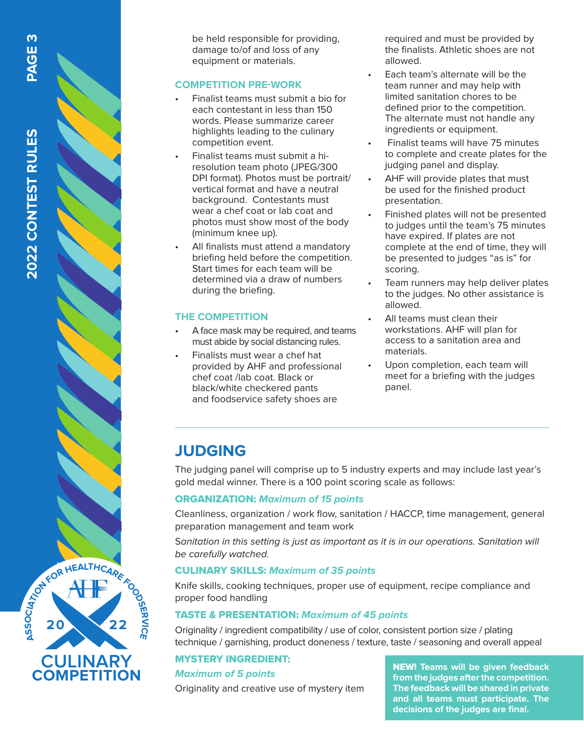be held responsible for providing, damage to/of and loss of any equipment or materials.

#### **COMPETITION PRE-WORK**

- Finalist teams must submit a bio for each contestant in less than 150 words. Please summarize career highlights leading to the culinary competition event.
- Finalist teams must submit a hiresolution team photo (JPEG/300 DPI format). Photos must be portrait/ vertical format and have a neutral background. Contestants must wear a chef coat or lab coat and photos must show most of the body (minimum knee up).
- All finalists must attend a mandatory briefing held before the competition. Start times for each team will be determined via a draw of numbers during the briefing.

#### **THE COMPETITION**

- A face mask may be required, and teams must abide by social distancing rules.
- Finalists must wear a chef hat provided by AHF and professional chef coat /lab coat. Black or black/white checkered pants and foodservice safety shoes are

required and must be provided by the finalists. Athletic shoes are not allowed.

- Each team's alternate will be the team runner and may help with limited sanitation chores to be defined prior to the competition. The alternate must not handle any ingredients or equipment.
- Finalist teams will have 75 minutes to complete and create plates for the judging panel and display.
- AHF will provide plates that must be used for the finished product presentation.
- Finished plates will not be presented to judges until the team's 75 minutes have expired. If plates are not complete at the end of time, they will be presented to judges "as is" for scoring.
- Team runners may help deliver plates to the judges. No other assistance is allowed.
- All teams must clean their workstations. AHF will plan for access to a sanitation area and materials.
- Upon completion, each team will meet for a briefing with the judges panel.

### **JUDGING**

The judging panel will comprise up to 5 industry experts and may include last year's gold medal winner. There is a 100 point scoring scale as follows:

#### ORGANIZATION: *Maximum of 15 points*

Cleanliness, organization / work flow, sanitation / HACCP, time management, general preparation management and team work

S*anitation in this setting is just as important as it is in our operations. Sanitation will be carefully watched.*

#### CULINARY SKILLS: *Maximum of 35 points*

Knife skills, cooking techniques, proper use of equipment, recipe compliance and proper food handling

#### TASTE & PRESENTATION: *Maximum of 45 points*

Originality / ingredient compatibility / use of color, consistent portion size / plating technique / garnishing, product doneness / texture, taste / seasoning and overall appeal

### MYSTERY INGREDIENT:

#### *Maximum of 5 points*

Originality and creative use of mystery item

NEW! **Teams will be given feedback from the judges after the competition. The feedback will be shared in private and all teams must participate. The decisions of the judges are final.**

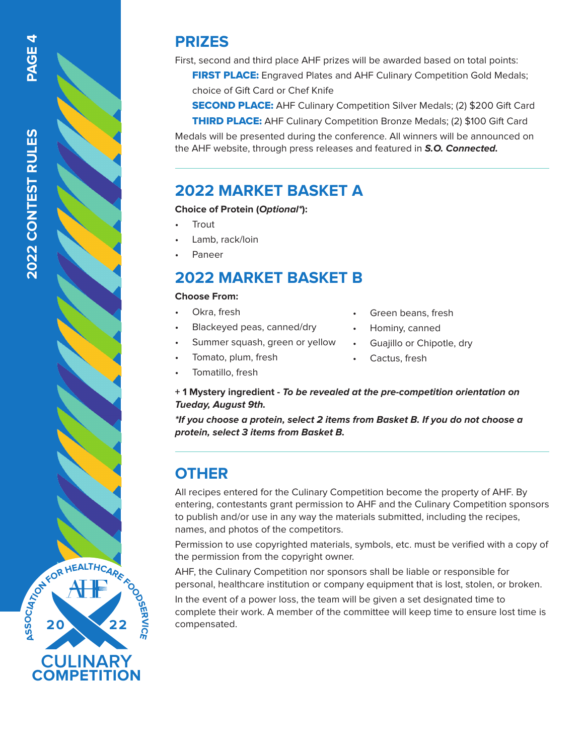### **PRIZES**

First, second and third place AHF prizes will be awarded based on total points:

**FIRST PLACE:** Engraved Plates and AHF Culinary Competition Gold Medals; choice of Gift Card or Chef Knife

**SECOND PLACE:** AHF Culinary Competition Silver Medals; (2) \$200 Gift Card

**THIRD PLACE:** AHF Culinary Competition Bronze Medals; (2) \$100 Gift Card

Medals will be presented during the conference. All winners will be announced on the AHF website, through press releases and featured in *S.O. Connected.*

### **2022 MARKET BASKET A**

#### **Choice of Protein (***Optional\****):**

- **Trout**
- Lamb, rack/loin
- Paneer

### **2022 MARKET BASKET B**

#### **Choose From:**

- Okra, fresh
- Blackeyed peas, canned/dry
- Summer squash, green or yellow
- Tomato, plum, fresh
- Tomatillo, fresh
- Green beans, fresh
- Hominy, canned
- Guajillo or Chipotle, dry
- Cactus, fresh

**+ 1 Mystery ingredient -** *To be revealed at the pre-competition orientation on Tueday, August 9th.*

*\*If you choose a protein, select 2 items from Basket B. If you do not choose a protein, select 3 items from Basket B.*

### **OTHER**

All recipes entered for the Culinary Competition become the property of AHF. By entering, contestants grant permission to AHF and the Culinary Competition sponsors to publish and/or use in any way the materials submitted, including the recipes, names, and photos of the competitors.

Permission to use copyrighted materials, symbols, etc. must be verified with a copy of the permission from the copyright owner.

AHF, the Culinary Competition nor sponsors shall be liable or responsible for personal, healthcare institution or company equipment that is lost, stolen, or broken.

In the event of a power loss, the team will be given a set designated time to complete their work. A member of the committee will keep time to ensure lost time is compensated.

**PAGE 4**

**CULINARY COMPETITION 20 22 C<sup>I</sup>AT<sup>I</sup>O<sup>N</sup> <sup>F</sup>O<sup>R</sup> <sup>H</sup>EALTHCAR<sup>E</sup> <sup>F</sup>OODS<sup>E</sup> RV CI E**